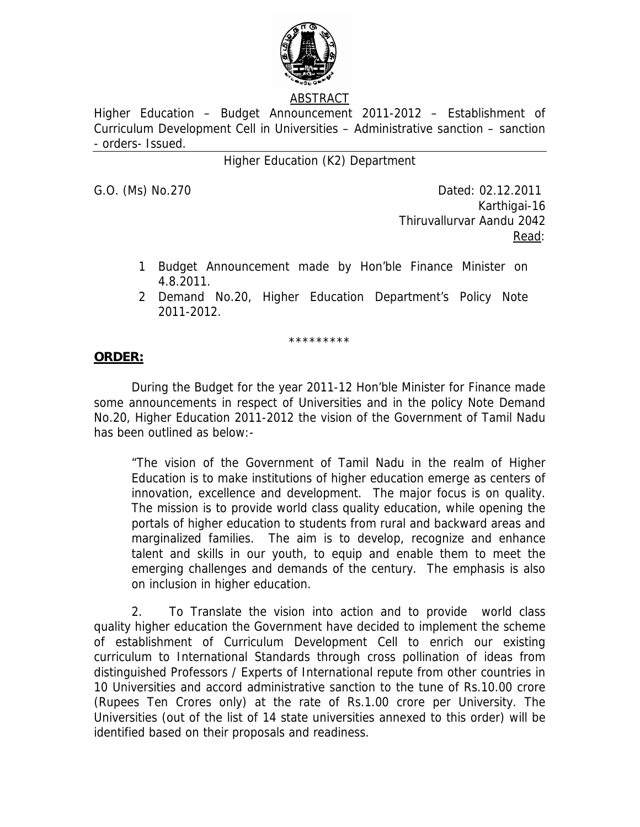

## **ABSTRACT**

Higher Education – Budget Announcement 2011-2012 – Establishment of Curriculum Development Cell in Universities – Administrative sanction – sanction - orders- Issued.

#### Higher Education (K2) Department

G.O. (Ms) No.270 Dated: 02.12.2011 Karthigai-16 Thiruvallurvar Aandu 2042 Read:

- 1 Budget Announcement made by Hon'ble Finance Minister on 4.8.2011.
- 2 Demand No.20, Higher Education Department's Policy Note 2011-2012.

\*\*\*\*\*\*\*\*\*

#### **ORDER:**

 During the Budget for the year 2011-12 Hon'ble Minister for Finance made some announcements in respect of Universities and in the policy Note Demand No.20, Higher Education 2011-2012 the vision of the Government of Tamil Nadu has been outlined as below:-

"The vision of the Government of Tamil Nadu in the realm of Higher Education is to make institutions of higher education emerge as centers of innovation, excellence and development. The major focus is on quality. The mission is to provide world class quality education, while opening the portals of higher education to students from rural and backward areas and marginalized families. The aim is to develop, recognize and enhance talent and skills in our youth, to equip and enable them to meet the emerging challenges and demands of the century. The emphasis is also on inclusion in higher education.

2. To Translate the vision into action and to provide world class quality higher education the Government have decided to implement the scheme of establishment of Curriculum Development Cell to enrich our existing curriculum to International Standards through cross pollination of ideas from distinguished Professors / Experts of International repute from other countries in 10 Universities and accord administrative sanction to the tune of Rs.10.00 crore (Rupees Ten Crores only) at the rate of Rs.1.00 crore per University. The Universities (out of the list of 14 state universities annexed to this order) will be identified based on their proposals and readiness.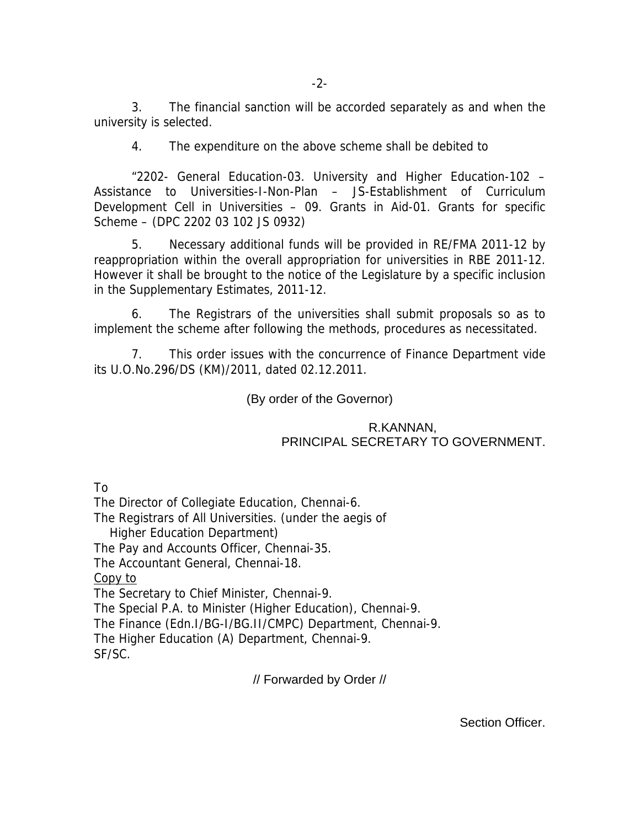3. The financial sanction will be accorded separately as and when the university is selected. Ī

4. The expenditure on the above scheme shall be debited to

"2202- General Education-03. University and Higher Education-102 – Assistance to Universities-I-Non-Plan – JS-Establishment of Curriculum Development Cell in Universities – 09. Grants in Aid-01. Grants for specific Scheme – (DPC 2202 03 102 JS 0932)

5. Necessary additional funds will be provided in RE/FMA 2011-12 by reappropriation within the overall appropriation for universities in RBE 2011-12. However it shall be brought to the notice of the Legislature by a specific inclusion in the Supplementary Estimates, 2011-12.

 6. The Registrars of the universities shall submit proposals so as to implement the scheme after following the methods, procedures as necessitated.

 7. This order issues with the concurrence of Finance Department vide its U.O.No.296/DS (KM)/2011, dated 02.12.2011.

(By order of the Governor)

## R.KANNAN, PRINCIPAL SECRETARY TO GOVERNMENT.

To

The Director of Collegiate Education, Chennai-6.

The Registrars of All Universities. (under the aegis of

Higher Education Department)

The Pay and Accounts Officer, Chennai-35.

The Accountant General, Chennai-18.

Copy to

The Secretary to Chief Minister, Chennai-9.

The Special P.A. to Minister (Higher Education), Chennai-9.

The Finance (Edn.I/BG-I/BG.II/CMPC) Department, Chennai-9.

The Higher Education (A) Department, Chennai-9. SF/SC.

// Forwarded by Order //

Section Officer.